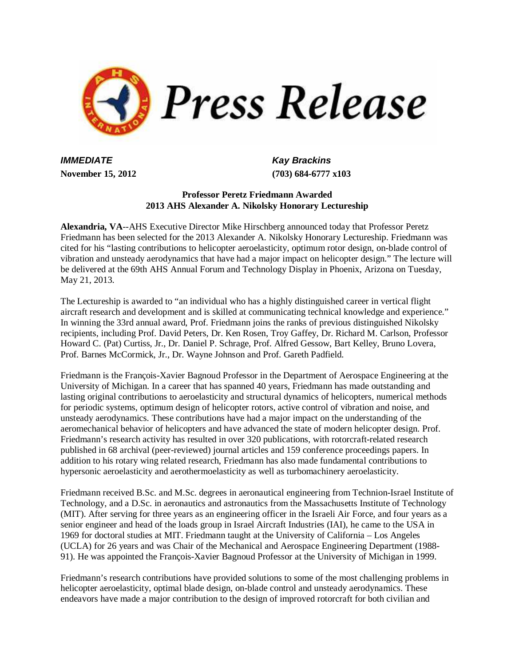

*IMMEDIATE* Kay Brackins

**November 15, 2012 (703) 684-6777 x103**

## **Professor Peretz Friedmann Awarded 2013 AHS Alexander A. Nikolsky Honorary Lectureship**

**Alexandria, VA**--AHS Executive Director Mike Hirschberg announced today that Professor Peretz Friedmann has been selected for the 2013 Alexander A. Nikolsky Honorary Lectureship. Friedmann was cited for his "lasting contributions to helicopter aeroelasticity, optimum rotor design, on-blade control of vibration and unsteady aerodynamics that have had a major impact on helicopter design." The lecture will be delivered at the 69th AHS Annual Forum and Technology Display in Phoenix, Arizona on Tuesday, May 21, 2013.

The Lectureship is awarded to "an individual who has a highly distinguished career in vertical flight aircraft research and development and is skilled at communicating technical knowledge and experience." In winning the 33rd annual award, Prof. Friedmann joins the ranks of previous distinguished Nikolsky recipients, including Prof. David Peters, Dr. Ken Rosen, Troy Gaffey, Dr. Richard M. Carlson, Professor Howard C. (Pat) Curtiss, Jr., Dr. Daniel P. Schrage, Prof. Alfred Gessow, Bart Kelley, Bruno Lovera, Prof. Barnes McCormick, Jr., Dr. Wayne Johnson and Prof. Gareth Padfield.

Friedmann is the François-Xavier Bagnoud Professor in the Department of Aerospace Engineering at the University of Michigan. In a career that has spanned 40 years, Friedmann has made outstanding and lasting original contributions to aeroelasticity and structural dynamics of helicopters, numerical methods for periodic systems, optimum design of helicopter rotors, active control of vibration and noise, and unsteady aerodynamics. These contributions have had a major impact on the understanding of the aeromechanical behavior of helicopters and have advanced the state of modern helicopter design. Prof. Friedmann's research activity has resulted in over 320 publications, with rotorcraft-related research published in 68 archival (peer-reviewed) journal articles and 159 conference proceedings papers. In addition to his rotary wing related research, Friedmann has also made fundamental contributions to hypersonic aeroelasticity and aerothermoelasticity as well as turbomachinery aeroelasticity.

Friedmann received B.Sc. and M.Sc. degrees in aeronautical engineering from Technion-Israel Institute of Technology, and a D.Sc. in aeronautics and astronautics from the Massachusetts Institute of Technology (MIT). After serving for three years as an engineering officer in the Israeli Air Force, and four years as a senior engineer and head of the loads group in Israel Aircraft Industries (IAI), he came to the USA in 1969 for doctoral studies at MIT. Friedmann taught at the University of California – Los Angeles (UCLA) for 26 years and was Chair of the Mechanical and Aerospace Engineering Department (1988- 91). He was appointed the François-Xavier Bagnoud Professor at the University of Michigan in 1999.

Friedmann's research contributions have provided solutions to some of the most challenging problems in helicopter aeroelasticity, optimal blade design, on-blade control and unsteady aerodynamics. These endeavors have made a major contribution to the design of improved rotorcraft for both civilian and